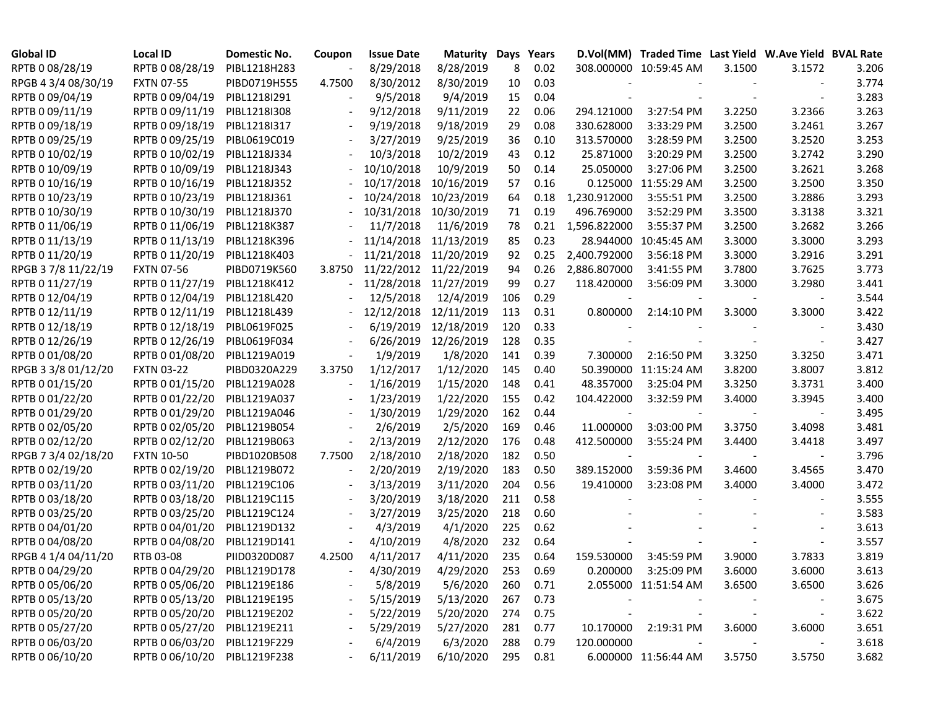| <b>Global ID</b>    | <b>Local ID</b>              | <b>Domestic No.</b> | Coupon | <b>Issue Date</b>     | <b>Maturity Days Years</b> |     |      |              | D.Vol(MM) Traded Time Last Yield W.Ave Yield BVAL Rate |        |                          |       |
|---------------------|------------------------------|---------------------|--------|-----------------------|----------------------------|-----|------|--------------|--------------------------------------------------------|--------|--------------------------|-------|
| RPTB 0 08/28/19     | RPTB 0 08/28/19              | PIBL1218H283        |        | 8/29/2018             | 8/28/2019                  | 8   | 0.02 |              | 308.000000 10:59:45 AM                                 | 3.1500 | 3.1572                   | 3.206 |
| RPGB 4 3/4 08/30/19 | <b>FXTN 07-55</b>            | PIBD0719H555        | 4.7500 | 8/30/2012             | 8/30/2019                  | 10  | 0.03 |              |                                                        |        |                          | 3.774 |
| RPTB 0 09/04/19     | RPTB 0 09/04/19              | PIBL1218I291        |        | 9/5/2018              | 9/4/2019                   | 15  | 0.04 |              |                                                        |        |                          | 3.283 |
| RPTB 0 09/11/19     | RPTB 0 09/11/19              | PIBL1218I308        |        | 9/12/2018             | 9/11/2019                  | 22  | 0.06 | 294.121000   | 3:27:54 PM                                             | 3.2250 | 3.2366                   | 3.263 |
| RPTB 0 09/18/19     | RPTB 0 09/18/19              | PIBL1218I317        |        | 9/19/2018             | 9/18/2019                  | 29  | 0.08 | 330.628000   | 3:33:29 PM                                             | 3.2500 | 3.2461                   | 3.267 |
| RPTB 0 09/25/19     | RPTB 0 09/25/19              | PIBL0619C019        |        | 3/27/2019             | 9/25/2019                  | 36  | 0.10 | 313.570000   | 3:28:59 PM                                             | 3.2500 | 3.2520                   | 3.253 |
| RPTB 0 10/02/19     | RPTB 0 10/02/19              | PIBL1218J334        |        | 10/3/2018             | 10/2/2019                  | 43  | 0.12 | 25.871000    | 3:20:29 PM                                             | 3.2500 | 3.2742                   | 3.290 |
| RPTB 0 10/09/19     | RPTB 0 10/09/19              | PIBL1218J343        |        | 10/10/2018            | 10/9/2019                  | 50  | 0.14 | 25.050000    | 3:27:06 PM                                             | 3.2500 | 3.2621                   | 3.268 |
| RPTB 0 10/16/19     | RPTB 0 10/16/19              | PIBL1218J352        |        | 10/17/2018            | 10/16/2019                 | 57  | 0.16 |              | 0.125000 11:55:29 AM                                   | 3.2500 | 3.2500                   | 3.350 |
| RPTB 0 10/23/19     | RPTB 0 10/23/19              | PIBL1218J361        |        | 10/24/2018            | 10/23/2019                 | 64  | 0.18 | 1,230.912000 | 3:55:51 PM                                             | 3.2500 | 3.2886                   | 3.293 |
| RPTB 0 10/30/19     | RPTB 0 10/30/19              | PIBL1218J370        |        | 10/31/2018            | 10/30/2019                 | 71  | 0.19 | 496.769000   | 3:52:29 PM                                             | 3.3500 | 3.3138                   | 3.321 |
| RPTB 0 11/06/19     | RPTB 0 11/06/19              | PIBL1218K387        |        | 11/7/2018             | 11/6/2019                  | 78  | 0.21 | 1,596.822000 | 3:55:37 PM                                             | 3.2500 | 3.2682                   | 3.266 |
| RPTB 0 11/13/19     | RPTB 0 11/13/19              | PIBL1218K396        |        |                       | 11/14/2018 11/13/2019      | 85  | 0.23 |              | 28.944000 10:45:45 AM                                  | 3.3000 | 3.3000                   | 3.293 |
| RPTB 0 11/20/19     | RPTB 0 11/20/19              | PIBL1218K403        |        | 11/21/2018 11/20/2019 |                            | 92  | 0.25 | 2,400.792000 | 3:56:18 PM                                             | 3.3000 | 3.2916                   | 3.291 |
| RPGB 3 7/8 11/22/19 | <b>FXTN 07-56</b>            | PIBD0719K560        | 3.8750 |                       | 11/22/2012 11/22/2019      | 94  | 0.26 | 2,886.807000 | 3:41:55 PM                                             | 3.7800 | 3.7625                   | 3.773 |
| RPTB 0 11/27/19     | RPTB 0 11/27/19              | PIBL1218K412        | $\sim$ | 11/28/2018            | 11/27/2019                 | 99  | 0.27 | 118.420000   | 3:56:09 PM                                             | 3.3000 | 3.2980                   | 3.441 |
| RPTB 0 12/04/19     | RPTB 0 12/04/19              | PIBL1218L420        |        | 12/5/2018             | 12/4/2019                  | 106 | 0.29 |              |                                                        |        |                          | 3.544 |
| RPTB 0 12/11/19     | RPTB 0 12/11/19              | PIBL1218L439        |        | 12/12/2018            | 12/11/2019                 | 113 | 0.31 | 0.800000     | 2:14:10 PM                                             | 3.3000 | 3.3000                   | 3.422 |
| RPTB 0 12/18/19     | RPTB 0 12/18/19              | PIBL0619F025        |        | 6/19/2019             | 12/18/2019                 | 120 | 0.33 |              |                                                        |        |                          | 3.430 |
| RPTB 0 12/26/19     | RPTB 0 12/26/19              | PIBL0619F034        |        | 6/26/2019             | 12/26/2019                 | 128 | 0.35 |              |                                                        |        | $\blacksquare$           | 3.427 |
| RPTB 0 01/08/20     | RPTB 0 01/08/20              | PIBL1219A019        |        | 1/9/2019              | 1/8/2020                   | 141 | 0.39 | 7.300000     | 2:16:50 PM                                             | 3.3250 | 3.3250                   | 3.471 |
| RPGB 3 3/8 01/12/20 | <b>FXTN 03-22</b>            | PIBD0320A229        | 3.3750 | 1/12/2017             | 1/12/2020                  | 145 | 0.40 |              | 50.390000 11:15:24 AM                                  | 3.8200 | 3.8007                   | 3.812 |
| RPTB 0 01/15/20     | RPTB 0 01/15/20              | PIBL1219A028        |        | 1/16/2019             | 1/15/2020                  | 148 | 0.41 | 48.357000    | 3:25:04 PM                                             | 3.3250 | 3.3731                   | 3.400 |
| RPTB 0 01/22/20     | RPTB 0 01/22/20              | PIBL1219A037        |        | 1/23/2019             | 1/22/2020                  | 155 | 0.42 | 104.422000   | 3:32:59 PM                                             | 3.4000 | 3.3945                   | 3.400 |
| RPTB 0 01/29/20     | RPTB 0 01/29/20              | PIBL1219A046        |        | 1/30/2019             | 1/29/2020                  | 162 | 0.44 |              |                                                        |        |                          | 3.495 |
| RPTB 0 02/05/20     | RPTB 0 02/05/20              | PIBL1219B054        |        | 2/6/2019              | 2/5/2020                   | 169 | 0.46 | 11.000000    | 3:03:00 PM                                             | 3.3750 | 3.4098                   | 3.481 |
| RPTB 0 02/12/20     | RPTB 0 02/12/20              | PIBL1219B063        |        | 2/13/2019             | 2/12/2020                  | 176 | 0.48 | 412.500000   | 3:55:24 PM                                             | 3.4400 | 3.4418                   | 3.497 |
| RPGB 7 3/4 02/18/20 | <b>FXTN 10-50</b>            | PIBD1020B508        | 7.7500 | 2/18/2010             | 2/18/2020                  | 182 | 0.50 |              |                                                        |        |                          | 3.796 |
| RPTB 0 02/19/20     | RPTB 0 02/19/20              | PIBL1219B072        |        | 2/20/2019             | 2/19/2020                  | 183 | 0.50 | 389.152000   | 3:59:36 PM                                             | 3.4600 | 3.4565                   | 3.470 |
| RPTB 0 03/11/20     | RPTB 0 03/11/20              | PIBL1219C106        |        | 3/13/2019             | 3/11/2020                  | 204 | 0.56 | 19.410000    | 3:23:08 PM                                             | 3.4000 | 3.4000                   | 3.472 |
| RPTB 0 03/18/20     | RPTB 0 03/18/20              | PIBL1219C115        |        | 3/20/2019             | 3/18/2020                  | 211 | 0.58 |              |                                                        |        |                          | 3.555 |
| RPTB 0 03/25/20     | RPTB 0 03/25/20              | PIBL1219C124        |        | 3/27/2019             | 3/25/2020                  | 218 | 0.60 |              |                                                        |        |                          | 3.583 |
| RPTB 0 04/01/20     | RPTB 0 04/01/20              | PIBL1219D132        |        | 4/3/2019              | 4/1/2020                   | 225 | 0.62 |              |                                                        |        |                          | 3.613 |
| RPTB 0 04/08/20     | RPTB 0 04/08/20              | PIBL1219D141        |        | 4/10/2019             | 4/8/2020                   | 232 | 0.64 |              |                                                        |        |                          | 3.557 |
| RPGB 4 1/4 04/11/20 | RTB 03-08                    | PIID0320D087        | 4.2500 | 4/11/2017             | 4/11/2020                  | 235 | 0.64 | 159.530000   | 3:45:59 PM                                             | 3.9000 | 3.7833                   | 3.819 |
| RPTB 0 04/29/20     | RPTB 0 04/29/20              | PIBL1219D178        |        | 4/30/2019             | 4/29/2020                  | 253 | 0.69 | 0.200000     | 3:25:09 PM                                             | 3.6000 | 3.6000                   | 3.613 |
| RPTB 0 05/06/20     | RPTB 0 05/06/20 PIBL1219E186 |                     |        | 5/8/2019              | 5/6/2020                   | 260 | 0.71 |              | 2.055000 11:51:54 AM                                   | 3.6500 | 3.6500                   | 3.626 |
| RPTB 0 05/13/20     | RPTB 0 05/13/20              | PIBL1219E195        |        | 5/15/2019             | 5/13/2020                  | 267 | 0.73 |              |                                                        |        |                          | 3.675 |
| RPTB 0 05/20/20     | RPTB 0 05/20/20              | PIBL1219E202        |        | 5/22/2019             | 5/20/2020                  | 274 | 0.75 |              |                                                        |        | $\overline{\phantom{a}}$ | 3.622 |
| RPTB 0 05/27/20     | RPTB 0 05/27/20              | PIBL1219E211        |        | 5/29/2019             | 5/27/2020                  | 281 | 0.77 |              | 10.170000 2:19:31 PM                                   | 3.6000 | 3.6000                   | 3.651 |
| RPTB 0 06/03/20     | RPTB 0 06/03/20              | PIBL1219F229        |        | 6/4/2019              | 6/3/2020                   | 288 | 0.79 | 120.000000   |                                                        |        |                          | 3.618 |
| RPTB 0 06/10/20     | RPTB 0 06/10/20              | PIBL1219F238        |        | 6/11/2019             | 6/10/2020                  | 295 | 0.81 |              | 6.000000 11:56:44 AM                                   | 3.5750 | 3.5750                   | 3.682 |
|                     |                              |                     |        |                       |                            |     |      |              |                                                        |        |                          |       |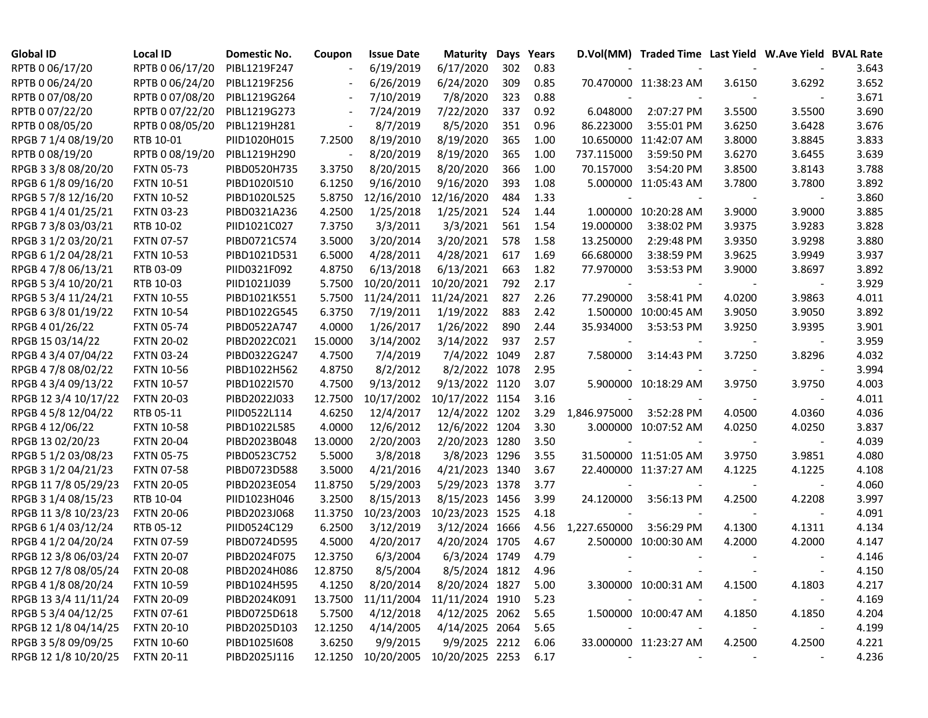| <b>Global ID</b>     | <b>Local ID</b>   | Domestic No. | Coupon                   | <b>Issue Date</b>                       | Maturity                   |     | Days Years |                          | D.Vol(MM) Traded Time Last Yield W.Ave Yield BVAL Rate |        |        |       |
|----------------------|-------------------|--------------|--------------------------|-----------------------------------------|----------------------------|-----|------------|--------------------------|--------------------------------------------------------|--------|--------|-------|
| RPTB 0 06/17/20      | RPTB 0 06/17/20   | PIBL1219F247 |                          | 6/19/2019                               | 6/17/2020                  | 302 | 0.83       |                          |                                                        |        |        | 3.643 |
| RPTB 0 06/24/20      | RPTB 0 06/24/20   | PIBL1219F256 |                          | 6/26/2019                               | 6/24/2020                  | 309 | 0.85       |                          | 70.470000 11:38:23 AM                                  | 3.6150 | 3.6292 | 3.652 |
| RPTB 0 07/08/20      | RPTB 0 07/08/20   | PIBL1219G264 | $\overline{\phantom{a}}$ | 7/10/2019                               | 7/8/2020                   | 323 | 0.88       |                          |                                                        |        |        | 3.671 |
| RPTB 0 07/22/20      | RPTB 0 07/22/20   | PIBL1219G273 | $\overline{\phantom{a}}$ | 7/24/2019                               | 7/22/2020                  | 337 | 0.92       | 6.048000                 | 2:07:27 PM                                             | 3.5500 | 3.5500 | 3.690 |
| RPTB 0 08/05/20      | RPTB 0 08/05/20   | PIBL1219H281 | $\overline{\phantom{a}}$ | 8/7/2019                                | 8/5/2020                   | 351 | 0.96       | 86.223000                | 3:55:01 PM                                             | 3.6250 | 3.6428 | 3.676 |
| RPGB 7 1/4 08/19/20  | RTB 10-01         | PIID1020H015 | 7.2500                   | 8/19/2010                               | 8/19/2020                  | 365 | 1.00       |                          | 10.650000 11:42:07 AM                                  | 3.8000 | 3.8845 | 3.833 |
| RPTB 0 08/19/20      | RPTB 0 08/19/20   | PIBL1219H290 |                          | 8/20/2019                               | 8/19/2020                  | 365 | 1.00       | 737.115000               | 3:59:50 PM                                             | 3.6270 | 3.6455 | 3.639 |
| RPGB 3 3/8 08/20/20  | <b>FXTN 05-73</b> | PIBD0520H735 | 3.3750                   | 8/20/2015                               | 8/20/2020                  | 366 | 1.00       | 70.157000                | 3:54:20 PM                                             | 3.8500 | 3.8143 | 3.788 |
| RPGB 6 1/8 09/16/20  | <b>FXTN 10-51</b> | PIBD1020I510 | 6.1250                   | 9/16/2010                               | 9/16/2020                  | 393 | 1.08       |                          | 5.000000 11:05:43 AM                                   | 3.7800 | 3.7800 | 3.892 |
| RPGB 5 7/8 12/16/20  | <b>FXTN 10-52</b> | PIBD1020L525 | 5.8750                   | 12/16/2010                              | 12/16/2020                 | 484 | 1.33       |                          |                                                        |        |        | 3.860 |
| RPGB 4 1/4 01/25/21  | <b>FXTN 03-23</b> | PIBD0321A236 | 4.2500                   | 1/25/2018                               | 1/25/2021                  | 524 | 1.44       |                          | 1.000000 10:20:28 AM                                   | 3.9000 | 3.9000 | 3.885 |
| RPGB 7 3/8 03/03/21  | RTB 10-02         | PIID1021C027 | 7.3750                   | 3/3/2011                                | 3/3/2021                   | 561 | 1.54       | 19.000000                | 3:38:02 PM                                             | 3.9375 | 3.9283 | 3.828 |
| RPGB 3 1/2 03/20/21  | <b>FXTN 07-57</b> | PIBD0721C574 | 3.5000                   | 3/20/2014                               | 3/20/2021                  | 578 | 1.58       | 13.250000                | 2:29:48 PM                                             | 3.9350 | 3.9298 | 3.880 |
| RPGB 6 1/2 04/28/21  | <b>FXTN 10-53</b> | PIBD1021D531 | 6.5000                   | 4/28/2011                               | 4/28/2021                  | 617 | 1.69       | 66.680000                | 3:38:59 PM                                             | 3.9625 | 3.9949 | 3.937 |
| RPGB 4 7/8 06/13/21  | RTB 03-09         | PIID0321F092 | 4.8750                   | 6/13/2018                               | 6/13/2021                  | 663 | 1.82       | 77.970000                | 3:53:53 PM                                             | 3.9000 | 3.8697 | 3.892 |
| RPGB 5 3/4 10/20/21  | RTB 10-03         | PIID1021J039 | 5.7500                   | 10/20/2011                              | 10/20/2021                 | 792 | 2.17       | $\overline{\phantom{a}}$ |                                                        |        |        | 3.929 |
| RPGB 5 3/4 11/24/21  | <b>FXTN 10-55</b> | PIBD1021K551 | 5.7500                   | 11/24/2011                              | 11/24/2021                 | 827 | 2.26       | 77.290000                | 3:58:41 PM                                             | 4.0200 | 3.9863 | 4.011 |
| RPGB 6 3/8 01/19/22  | <b>FXTN 10-54</b> | PIBD1022G545 | 6.3750                   | 7/19/2011                               | 1/19/2022                  | 883 | 2.42       |                          | 1.500000 10:00:45 AM                                   | 3.9050 | 3.9050 | 3.892 |
| RPGB 4 01/26/22      | <b>FXTN 05-74</b> | PIBD0522A747 | 4.0000                   | 1/26/2017                               | 1/26/2022                  | 890 | 2.44       | 35.934000                | 3:53:53 PM                                             | 3.9250 | 3.9395 | 3.901 |
| RPGB 15 03/14/22     | <b>FXTN 20-02</b> | PIBD2022C021 | 15.0000                  | 3/14/2002                               | 3/14/2022                  | 937 | 2.57       |                          |                                                        |        |        | 3.959 |
| RPGB 4 3/4 07/04/22  | <b>FXTN 03-24</b> | PIBD0322G247 | 4.7500                   | 7/4/2019                                | 7/4/2022 1049              |     | 2.87       | 7.580000                 | 3:14:43 PM                                             | 3.7250 | 3.8296 | 4.032 |
| RPGB 4 7/8 08/02/22  | <b>FXTN 10-56</b> | PIBD1022H562 | 4.8750                   | 8/2/2012                                | 8/2/2022 1078              |     | 2.95       |                          |                                                        |        |        | 3.994 |
| RPGB 4 3/4 09/13/22  | <b>FXTN 10-57</b> | PIBD1022I570 | 4.7500                   | 9/13/2012                               | 9/13/2022 1120             |     | 3.07       |                          | 5.900000 10:18:29 AM                                   | 3.9750 | 3.9750 | 4.003 |
| RPGB 12 3/4 10/17/22 | <b>FXTN 20-03</b> | PIBD2022J033 | 12.7500                  | 10/17/2002                              | 10/17/2022 1154            |     | 3.16       |                          |                                                        |        |        | 4.011 |
| RPGB 4 5/8 12/04/22  | RTB 05-11         | PIID0522L114 | 4.6250                   | 12/4/2017                               | 12/4/2022 1202             |     | 3.29       | 1,846.975000             | 3:52:28 PM                                             | 4.0500 | 4.0360 | 4.036 |
| RPGB 4 12/06/22      | <b>FXTN 10-58</b> | PIBD1022L585 | 4.0000                   | 12/6/2012                               | 12/6/2022 1204             |     | 3.30       |                          | 3.000000 10:07:52 AM                                   | 4.0250 | 4.0250 | 3.837 |
| RPGB 13 02/20/23     | <b>FXTN 20-04</b> | PIBD2023B048 | 13.0000                  | 2/20/2003                               | 2/20/2023 1280             |     | 3.50       |                          |                                                        |        |        | 4.039 |
| RPGB 5 1/2 03/08/23  | <b>FXTN 05-75</b> | PIBD0523C752 | 5.5000                   | 3/8/2018                                | 3/8/2023 1296              |     | 3.55       |                          | 31.500000 11:51:05 AM                                  | 3.9750 | 3.9851 | 4.080 |
| RPGB 3 1/2 04/21/23  | <b>FXTN 07-58</b> | PIBD0723D588 | 3.5000                   | 4/21/2016                               | 4/21/2023 1340             |     | 3.67       |                          | 22.400000 11:37:27 AM                                  | 4.1225 | 4.1225 | 4.108 |
| RPGB 11 7/8 05/29/23 | <b>FXTN 20-05</b> | PIBD2023E054 | 11.8750                  | 5/29/2003                               | 5/29/2023 1378             |     | 3.77       |                          |                                                        |        |        | 4.060 |
| RPGB 3 1/4 08/15/23  | RTB 10-04         | PIID1023H046 | 3.2500                   | 8/15/2013                               | 8/15/2023 1456             |     | 3.99       | 24.120000                | 3:56:13 PM                                             | 4.2500 | 4.2208 | 3.997 |
| RPGB 11 3/8 10/23/23 | <b>FXTN 20-06</b> | PIBD2023J068 | 11.3750                  | 10/23/2003                              | 10/23/2023 1525            |     | 4.18       |                          |                                                        |        |        | 4.091 |
| RPGB 6 1/4 03/12/24  | RTB 05-12         | PIID0524C129 | 6.2500                   | 3/12/2019                               | 3/12/2024 1666             |     | 4.56       | 1,227.650000             | 3:56:29 PM                                             | 4.1300 | 4.1311 | 4.134 |
| RPGB 4 1/2 04/20/24  | <b>FXTN 07-59</b> | PIBD0724D595 | 4.5000                   | 4/20/2017                               | 4/20/2024 1705             |     | 4.67       |                          | 2.500000 10:00:30 AM                                   | 4.2000 | 4.2000 | 4.147 |
| RPGB 12 3/8 06/03/24 | <b>FXTN 20-07</b> | PIBD2024F075 | 12.3750                  | 6/3/2004                                | 6/3/2024 1749              |     | 4.79       | $\overline{\phantom{a}}$ |                                                        |        |        | 4.146 |
| RPGB 12 7/8 08/05/24 | <b>FXTN 20-08</b> | PIBD2024H086 | 12.8750                  | 8/5/2004                                | 8/5/2024 1812              |     | 4.96       |                          |                                                        |        |        | 4.150 |
| RPGB 4 1/8 08/20/24  | <b>FXTN 10-59</b> | PIBD1024H595 | 4.1250                   | 8/20/2014                               | 8/20/2024 1827             |     | 5.00       |                          | 3.300000 10:00:31 AM                                   | 4.1500 | 4.1803 | 4.217 |
| RPGB 13 3/4 11/11/24 | <b>FXTN 20-09</b> | PIBD2024K091 | 13.7500                  |                                         | 11/11/2004 11/11/2024 1910 |     | 5.23       |                          |                                                        |        |        | 4.169 |
| RPGB 5 3/4 04/12/25  | <b>FXTN 07-61</b> | PIBD0725D618 | 5.7500                   | 4/12/2018                               | 4/12/2025 2062             |     | 5.65       |                          | 1.500000 10:00:47 AM                                   | 4.1850 | 4.1850 | 4.204 |
| RPGB 12 1/8 04/14/25 | <b>FXTN 20-10</b> | PIBD2025D103 | 12.1250                  | 4/14/2005                               | 4/14/2025 2064             |     | 5.65       | $\blacksquare$           |                                                        |        |        | 4.199 |
| RPGB 3 5/8 09/09/25  | <b>FXTN 10-60</b> | PIBD10251608 | 3.6250                   | 9/9/2015                                | 9/9/2025 2212              |     | 6.06       |                          | 33.000000 11:23:27 AM                                  | 4.2500 | 4.2500 | 4.221 |
| RPGB 12 1/8 10/20/25 | <b>FXTN 20-11</b> | PIBD2025J116 |                          | 12.1250 10/20/2005 10/20/2025 2253 6.17 |                            |     |            |                          |                                                        |        |        | 4.236 |